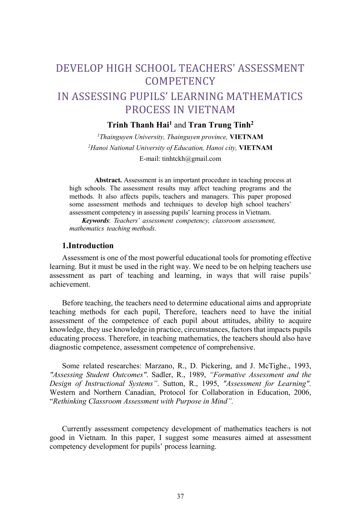# DEVELOP HIGH SCHOOL TEACHERS' ASSESSMENT **COMPETENCY**

## IN ASSESSING PUPILS' LEARNING MATHEMATICS PROCESS IN VIETNAM

### Trinh Thanh Hai<sup>1</sup> and Tran Trung Tinh<sup>2</sup>

 $1$ Thainguyen University, Thainguyen province, **VIETNAM** <sup>2</sup>Hanoi National University of Education, Hanoi city, VIETNAM E-mail: tinhtckh@gmail.com

Abstract. Assessment is an important procedure in teaching process at high schools. The assessment results may affect teaching programs and the methods. It also affects pupils, teachers and managers. This paper proposed some assessment methods and techniques to develop high school teachers' assessment competency in assessing pupils' learning process in Vietnam.

Keywords: Teachers' assessment competency, classroom assessment, mathematics teaching methods.

#### 1.Introduction

Assessment is one of the most powerful educational tools for promoting effective learning. But it must be used in the right way. We need to be on helping teachers use assessment as part of teaching and learning, in ways that will raise pupils' achievement.

Before teaching, the teachers need to determine educational aims and appropriate teaching methods for each pupil, Therefore, teachers need to have the initial assessment of the competence of each pupil about attitudes, ability to acquire knowledge, they use knowledge in practice, circumstances, factors that impacts pupils educating process. Therefore, in teaching mathematics, the teachers should also have diagnostic competence, assessment competence of comprehensive.

Some related researches: Marzano, R., D. Pickering, and J. McTighe., 1993, "Assessing Student Outcomes". Sadler, R., 1989, "Formative Assessment and the Design of Instructional Systems". Sutton, R., 1995, "Assessment for Learning". Western and Northern Canadian, Protocol for Collaboration in Education, 2006, "Rethinking Classroom Assessment with Purpose in Mind".

Currently assessment competency development of mathematics teachers is not good in Vietnam. In this paper, I suggest some measures aimed at assessment competency development for pupils' process learning.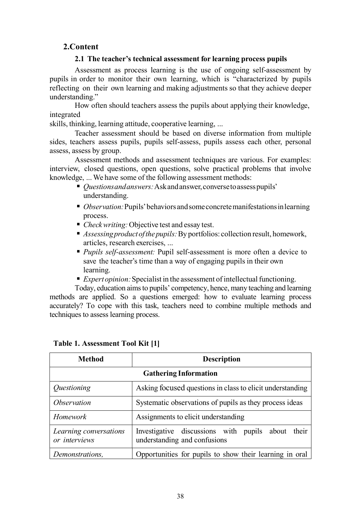## 2.Content

#### 2.1 The teacher's technical assessment for learning process pupils

Assessment as process learning is the use of ongoing self-assessment by pupils in order to monitor their own learning, which is "characterized by pupils reflecting on their own learning and making adjustments so that they achieve deeper understanding."

How often should teachers assess the pupils about applying their knowledge, integrated

skills, thinking, learning attitude, cooperative learning, ...

Teacher assessment should be based on diverse information from multiple sides, teachers assess pupils, pupils self-assess, pupils assess each other, personal assess, assess by group.

Assessment methods and assessment techniques are various. For examples: interview, closed questions, open questions, solve practical problems that involve knowledge, ... We have some of the following assessment methods:

- *Ouestions and answers*: Ask and answer, converse to assess pupils' understanding.
- $\bullet$  *Observation:* Pupils' behaviors and some concrete manifestations in learning process.
- *Check writing:* Objective test and essay test.
- Assessing product of the pupils: By portfolios: collection result, homework, articles, research exercises, ...
- Pupils self-assessment: Pupil self-assessment is more often a device to save the teacher's time than a way of engaging pupils in their own learning.
- Expert opinion: Specialist in the assessment of intellectual functioning.

Today, education aims to pupils' competency, hence, many teaching and learning methods are applied. So a questions emerged: how to evaluate learning process accurately? To cope with this task, teachers need to combine multiple methods and techniques to assess learning process.

| <b>Method</b>                           | <b>Description</b>                                                                   |  |
|-----------------------------------------|--------------------------------------------------------------------------------------|--|
| <b>Gathering Information</b>            |                                                                                      |  |
| <i><u>Ouestioning</u></i>               | Asking focused questions in class to elicit understanding                            |  |
| <i><b>Observation</b></i>               | Systematic observations of pupils as they process ideas                              |  |
| Homework                                | Assignments to elicit understanding                                                  |  |
| Learning conversations<br>or interviews | Investigative discussions with pupils about<br>their<br>understanding and confusions |  |
| Demonstrations.                         | Opportunities for pupils to show their learning in oral                              |  |

|  | Table 1. Assessment Tool Kit [1] |  |  |
|--|----------------------------------|--|--|
|--|----------------------------------|--|--|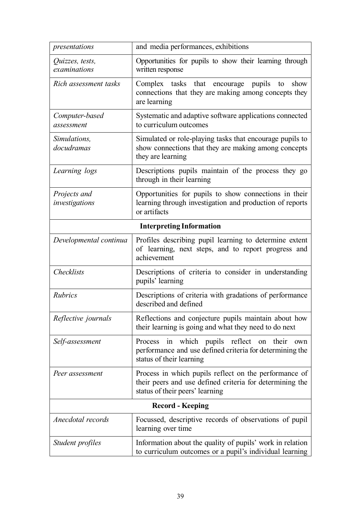| presentations                   | and media performances, exhibitions                                                                                                                  |  |
|---------------------------------|------------------------------------------------------------------------------------------------------------------------------------------------------|--|
| Quizzes, tests,<br>examinations | Opportunities for pupils to show their learning through<br>written response                                                                          |  |
| Rich assessment tasks           | pupils<br>Complex tasks that<br>encourage<br>show<br>to<br>connections that they are making among concepts they<br>are learning                      |  |
| Computer-based<br>assessment    | Systematic and adaptive software applications connected<br>to curriculum outcomes                                                                    |  |
| Simulations,<br>docudramas      | Simulated or role-playing tasks that encourage pupils to<br>show connections that they are making among concepts<br>they are learning                |  |
| Learning logs                   | Descriptions pupils maintain of the process they go<br>through in their learning                                                                     |  |
| Projects and<br>investigations  | Opportunities for pupils to show connections in their<br>learning through investigation and production of reports<br>or artifacts                    |  |
|                                 | <b>Interpreting Information</b>                                                                                                                      |  |
| Developmental continua          | Profiles describing pupil learning to determine extent<br>of learning, next steps, and to report progress and<br>achievement                         |  |
| Checklists                      | Descriptions of criteria to consider in understanding<br>pupils' learning                                                                            |  |
| Rubrics                         | Descriptions of criteria with gradations of performance<br>described and defined                                                                     |  |
| Reflective journals             | Reflections and conjecture pupils maintain about how<br>their learning is going and what they need to do next                                        |  |
| Self-assessment                 | in which pupils reflect<br>their<br>Process<br>on<br>own<br>performance and use defined criteria for determining the<br>status of their learning     |  |
| Peer assessment                 | Process in which pupils reflect on the performance of<br>their peers and use defined criteria for determining the<br>status of their peers' learning |  |
| <b>Record - Keeping</b>         |                                                                                                                                                      |  |
| Anecdotal records               | Focussed, descriptive records of observations of pupil<br>learning over time                                                                         |  |
| Student profiles                | Information about the quality of pupils' work in relation<br>to curriculum outcomes or a pupil's individual learning                                 |  |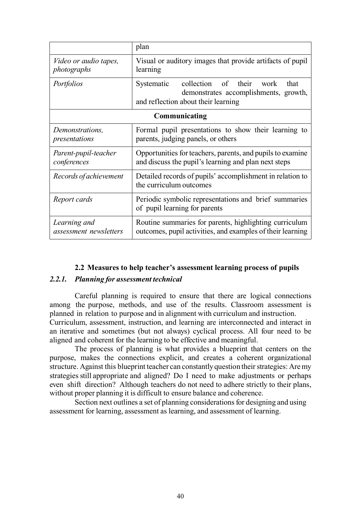|                                             | plan                                                                                                                           |  |
|---------------------------------------------|--------------------------------------------------------------------------------------------------------------------------------|--|
| <i>Video or audio tapes,</i><br>photographs | Visual or auditory images that provide artifacts of pupil<br>learning                                                          |  |
| Portfolios                                  | collection of their work<br>Systematic<br>that<br>demonstrates accomplishments, growth,<br>and reflection about their learning |  |
| Communicating                               |                                                                                                                                |  |
| Demonstrations,<br>presentations            | Formal pupil presentations to show their learning to<br>parents, judging panels, or others                                     |  |
| Parent-pupil-teacher<br>conferences         | Opportunities for teachers, parents, and pupils to examine<br>and discuss the pupil's learning and plan next steps             |  |
| Records of achievement                      | Detailed records of pupils' accomplishment in relation to<br>the curriculum outcomes                                           |  |
| Report cards                                | Periodic symbolic representations and brief summaries<br>of pupil learning for parents                                         |  |
| Learning and<br>assessment newsletters      | Routine summaries for parents, highlighting curriculum<br>outcomes, pupil activities, and examples of their learning           |  |

#### 2.2 Measures to help teacher's assessment learning process of pupils

#### 2.2.1. Planning for assessment technical

Careful planning is required to ensure that there are logical connections among the purpose, methods, and use of the results. Classroom assessment is planned in relation to purpose and in alignment with curriculum and instruction.

Curriculum, assessment, instruction, and learning are interconnected and interact in an iterative and sometimes (but not always) cyclical process. All four need to be aligned and coherent for the learning to be effective and meaningful.

The process of planning is what provides a blueprint that centers on the purpose, makes the connections explicit, and creates a coherent organizational structure. Against this blueprint teacher can constantly question their strategies: Are my strategies still appropriate and aligned? Do I need to make adjustments or perhaps even shift direction? Although teachers do not need to adhere strictly to their plans, without proper planning it is difficult to ensure balance and coherence.

Section next outlines a set of planning considerations for designing and using assessment for learning, assessment as learning, and assessment of learning.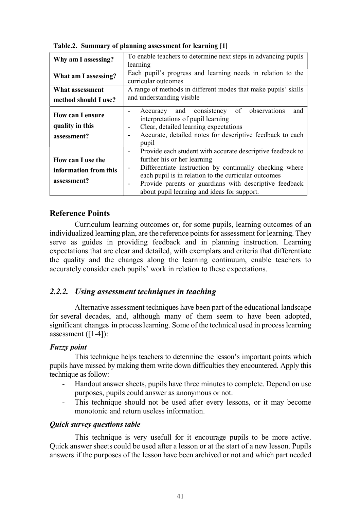| Why am I assessing?                                       | To enable teachers to determine next steps in advancing pupils<br>learning                                                                                                                                                                                                                                            |
|-----------------------------------------------------------|-----------------------------------------------------------------------------------------------------------------------------------------------------------------------------------------------------------------------------------------------------------------------------------------------------------------------|
| What am I assessing?                                      | Each pupil's progress and learning needs in relation to the<br>curricular outcomes                                                                                                                                                                                                                                    |
| What assessment                                           | A range of methods in different modes that make pupils' skills                                                                                                                                                                                                                                                        |
| method should I use?                                      | and understanding visible                                                                                                                                                                                                                                                                                             |
| <b>How can I ensure</b><br>quality in this<br>assessment? | Accuracy and consistency of observations<br>and<br>interpretations of pupil learning<br>Clear, detailed learning expectations<br>Accurate, detailed notes for descriptive feedback to each<br>pupil                                                                                                                   |
| How can I use the<br>information from this<br>assessment? | Provide each student with accurate descriptive feedback to<br>further his or her learning<br>Differentiate instruction by continually checking where<br>each pupil is in relation to the curricular outcomes<br>Provide parents or guardians with descriptive feedback<br>about pupil learning and ideas for support. |

Table.2. Summary of planning assessment for learning [1]

## Reference Points

Curriculum learning outcomes or, for some pupils, learning outcomes of an individualized learning plan, are the reference points for assessment for learning. They serve as guides in providing feedback and in planning instruction. Learning expectations that are clear and detailed, with exemplars and criteria that differentiate the quality and the changes along the learning continuum, enable teachers to accurately consider each pupils' work in relation to these expectations.

## 2.2.2. Using assessment techniques in teaching

Alternative assessment techniques have been part of the educational landscape for several decades, and, although many of them seem to have been adopted, significant changes in process learning. Some of the technical used in process learning assessment ([1-4]):

#### Fuzzy point

This technique helps teachers to determine the lesson's important points which pupils have missed by making them write down difficulties they encountered. Apply this technique as follow:

- Handout answer sheets, pupils have three minutes to complete. Depend on use purposes, pupils could answer as anonymous or not.
- This technique should not be used after every lessons, or it may become monotonic and return useless information.

#### Quick survey questions table

This technique is very usefull for it encourage pupils to be more active. Quick answer sheets could be used after a lesson or at the start of a new lesson. Pupils answers if the purposes of the lesson have been archived or not and which part needed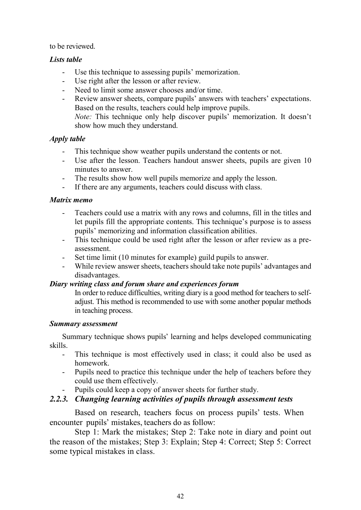to be reviewed.

## Lists table

- Use this technique to assessing pupils' memorization.
- Use right after the lesson or after review.
- Need to limit some answer chooses and/or time.
- Review answer sheets, compare pupils' answers with teachers' expectations. Based on the results, teachers could help improve pupils. Note: This technique only help discover pupils' memorization. It doesn't show how much they understand.

## Apply table

- This technique show weather pupils understand the contents or not.
- Use after the lesson. Teachers handout answer sheets, pupils are given 10 minutes to answer.
- The results show how well pupils memorize and apply the lesson.
- If there are any arguments, teachers could discuss with class.

## Matrix memo

- Teachers could use a matrix with any rows and columns, fill in the titles and let pupils fill the appropriate contents. This technique's purpose is to assess pupils' memorizing and information classification abilities.
- This technique could be used right after the lesson or after review as a preassessment.
- Set time limit (10 minutes for example) guild pupils to answer.
- While review answer sheets, teachers should take note pupils' advantages and disadvantages.

## Diary writing class and forum share and experiences forum

In order to reduce difficulties, writing diary is a good method for teachers to selfadjust. This method is recommended to use with some another popular methods in teaching process.

## Summary assessment

Summary technique shows pupils' learning and helps developed communicating skills.

- This technique is most effectively used in class; it could also be used as homework.
- Pupils need to practice this technique under the help of teachers before they could use them effectively.
- Pupils could keep a copy of answer sheets for further study.

## 2.2.3. Changing learning activities of pupils through assessment tests

Based on research, teachers focus on process pupils' tests. When encounter pupils' mistakes, teachers do as follow:

Step 1: Mark the mistakes; Step 2: Take note in diary and point out the reason of the mistakes; Step 3: Explain; Step 4: Correct; Step 5: Correct some typical mistakes in class.